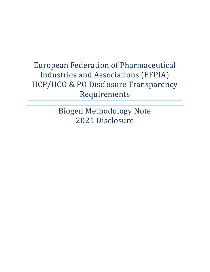Biogen Methodology Note 2021 Disclosure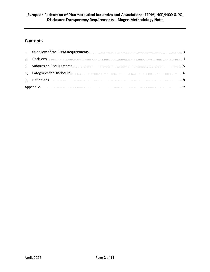## **Contents**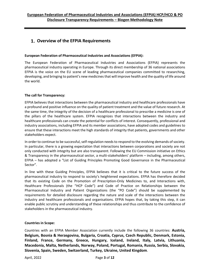## <span id="page-2-0"></span>**Overview of the EFPIA Requirements**

#### **European Federation of Pharmaceutical Industries and Associations (EFPIA):**

The European Federation of Pharmaceutical Industries and Associations (EFPIA) represents the pharmaceutical industry operating in Europe. Through its direct membership of 36 national associations EFPIA is the voice on the EU scene of leading pharmaceutical companies committed to researching, developing, and bringing to patient's new medicines that will improve health and the quality of life around the world.

#### **The call for Transparency:**

EFPIA believes that interactions between the pharmaceutical industry and healthcare professionals have a profound and positive influence on the quality of patient treatment and the value of future research. At the same time, the integrity of the decision of a healthcare professional to prescribe a medicine is one of the pillars of the healthcare system. EFPIA recognizes that interactions between the industry and healthcare professionals can create the potential for conflicts of interest. Consequently, professional and industry associations, including EFPIA and its member associations, have adopted codes and guidelines to ensure that these interactions meet the high standards of integrity that patients, governments and other stakeholders expect.

In order to continue to be successful, self-regulation needs to respond to the evolving demands of society. In particular, there is a growing expectation that interactions between corporations and society are not only conducted with integrity but are also transparent. Following the EU Commission initiative on Ethics & Transparency in the pharmaceutical sector, a multi-stakeholders' platform – including, among others, EFPIA – has adopted a "List of Guiding Principles Promoting Good Governance in the Pharmaceutical Sector".

In line with these Guiding Principles, EFPIA believes that it is critical to the future success of the pharmaceutical industry to respond to society's heightened expectations. EFPIA has therefore decided that its existing Code on the Promotion of Prescription-Only Medicines to, and Interactions with, Healthcare Professionals (the "HCP Code") and Code of Practice on Relationships between the Pharmaceutical Industry and Patient Organizations (the "PO Code") should be supplemented by requirements for detailed disclosure regarding the nature and scale of the interactions between the industry and healthcare professionals and organisations. EFPIA hopes that, by taking this step, it can enable public scrutiny and understanding of these relationships and thus contribute to the confidence of stakeholders in the pharmaceutical industry.

#### **Countries in Scope:**

Countries with an EFPIA Member Association currently include the following 36 countries: **Austria, Belgium, Bosnia & Herzegovina, Bulgaria, Croatia, Cyprus, Czech Republic, Denmark, Estonia, Finland, France, Germany, Greece, Hungary, Iceland, Ireland, Italy, Latvia, Lithuania, Macedonia, Malta, Netherlands, Norway, Poland, Portugal, Romania, Russia, Serbia, Slovakia, Slovenia, Spain, Sweden, Switzerland, Turkey, Ukraine, United Kingdom**.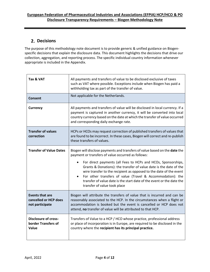## <span id="page-3-0"></span>**Decisions**

The purpose of this methodology note document is to provide generic & unified guidance on Biogenspecific decisions that explain the disclosure data. This document highlights the decisions that drive our collection, aggregation, and reporting process. The specific individual country information whenever appropriate is included in the Appendix.

| Tax & VAT                                                          | All payments and transfers of value to be disclosed exclusive of taxes<br>such as VAT where possible. Exceptions include when Biogen has paid a<br>withholding tax as part of the transfer of value.                                                                                                                                                                                                                                                                                                                 |
|--------------------------------------------------------------------|----------------------------------------------------------------------------------------------------------------------------------------------------------------------------------------------------------------------------------------------------------------------------------------------------------------------------------------------------------------------------------------------------------------------------------------------------------------------------------------------------------------------|
| Consent                                                            | Not applicable for the Netherlands.                                                                                                                                                                                                                                                                                                                                                                                                                                                                                  |
| <b>Currency</b>                                                    | All payments and transfers of value will be disclosed in local currency. If a<br>payment is captured in another currency, it will be converted into local<br>country currency based on the date at which the transfer of value occurred<br>and corresponding daily exchange rate.                                                                                                                                                                                                                                    |
| <b>Transfer of values</b><br>correction                            | HCPs or HCOs may request correction of published transfers of values that<br>are found to be incorrect. In these cases, Biogen will correct and re-publish<br>these transfers of values.                                                                                                                                                                                                                                                                                                                             |
| <b>Transfer of Value Dates</b>                                     | Biogen will disclose payments and transfers of value based on the date the<br>payment or transfers of value occurred as follows:<br>For direct payments (all Fees to HCPs and HCOs, Sponsorships,<br>Grants & Donations): the transfer of value date is the date of the<br>wire transfer to the recipient as opposed to the date of the event<br>For other transfers of value (Travel & Accommodation): the<br>transfer of value date is the start date of the event or the date the<br>transfer of value took place |
| <b>Events that are</b><br>cancelled or HCP does<br>not participate | Biogen will attribute the transfers of value that is incurred and can be<br>reasonably associated to the HCP. In the circumstances when a flight or<br>accommodation is booked but the event is cancelled or HCP does not<br>attend, no transfer of value will be attributed to that HCP.                                                                                                                                                                                                                            |
| <b>Disclosure of cross-</b><br>border Transfers of<br>Value        | Transfers of Value to a HCP / HCO whose practice, professional address<br>or place of incorporation is in Europe, are required to be disclosed in the<br>country where the recipient has its principal practice.                                                                                                                                                                                                                                                                                                     |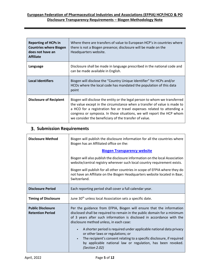| <b>Reporting of HCPs in</b><br><b>Countries where Biogen</b><br>does not have an<br><b>Affiliate</b> | Where there are transfers of value to European HCP's in countries where<br>there is not a Biogen presence; disclosure will be made on the<br>Headquarters website.                                                                                                                                                                                                  |
|------------------------------------------------------------------------------------------------------|---------------------------------------------------------------------------------------------------------------------------------------------------------------------------------------------------------------------------------------------------------------------------------------------------------------------------------------------------------------------|
| Language                                                                                             | Disclosure shall be made in language prescribed in the national code and<br>can be made available in English.                                                                                                                                                                                                                                                       |
| <b>Local Identifiers</b>                                                                             | Biogen will disclose the "Country Unique Identifier" for HCPs and/or<br>HCOs where the local code has mandated the population of this data<br>point                                                                                                                                                                                                                 |
| <b>Disclosure of Recipient</b>                                                                       | Biogen will disclose the entity or the legal person to whom we transferred<br>the value except in the circumstance when a transfer of value is made to<br>a HCO for a registration fee or travel expenses related to attending a<br>congress or symposia. In those situations, we will report the HCP whom<br>we consider the beneficiary of the transfer of value. |

## <span id="page-4-0"></span>**Submission Requirements**

| <b>Disclosure Method</b>                            | Biogen will publish the disclosure information for all the countries where<br>Biogen has an Affiliated office on the:                                                                                                                                                                                                                                                                                                                                                                                                                                                |
|-----------------------------------------------------|----------------------------------------------------------------------------------------------------------------------------------------------------------------------------------------------------------------------------------------------------------------------------------------------------------------------------------------------------------------------------------------------------------------------------------------------------------------------------------------------------------------------------------------------------------------------|
|                                                     | <b>Biogen Transparency website</b>                                                                                                                                                                                                                                                                                                                                                                                                                                                                                                                                   |
|                                                     | Biogen will also publish the disclosure information on the local Association<br>website/central registry wherever such local country requirement exists.                                                                                                                                                                                                                                                                                                                                                                                                             |
|                                                     | Biogen will publish for all other countries in scope of EFPIA where they do<br>not have an Affiliate on the Biogen Headquarters website located in Baar,<br>Switzerland.                                                                                                                                                                                                                                                                                                                                                                                             |
| <b>Disclosure Period</b>                            | Each reporting period shall cover a full calendar year.                                                                                                                                                                                                                                                                                                                                                                                                                                                                                                              |
| <b>Timing of Disclosure</b>                         | June 30 <sup>th</sup> unless local Association sets a specific date.                                                                                                                                                                                                                                                                                                                                                                                                                                                                                                 |
| <b>Public Disclosure</b><br><b>Retention Period</b> | Per the guidance from EFPIA, Biogen will ensure that the information<br>disclosed shall be required to remain in the public domain for a minimum<br>of 3 years after such information is disclosed in accordance with the<br>disclosure method unless, in each case:<br>A shorter period is required under applicable national data privacy<br>$\bullet$<br>or other laws or regulations; or<br>The recipient's consent relating to a specific disclosure, if required<br>$\bullet$<br>by applicable national law or regulation, has been revoked.<br>(Section 2.02) |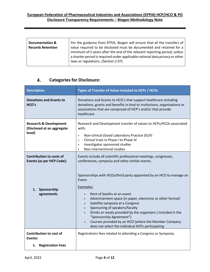| Documentation &<br><b>Records Retention</b> | Per the guidance from EFPIA, Biogen will ensure that all the transfers of<br>value required to be disclosed must be documented and retained for a<br>minimum of 5 years after the end of the relevant reporting period, unless<br>a shorter period is required under applicable national data privacy or other |
|---------------------------------------------|----------------------------------------------------------------------------------------------------------------------------------------------------------------------------------------------------------------------------------------------------------------------------------------------------------------|
|                                             | laws or regulations. (Section 2.07)                                                                                                                                                                                                                                                                            |

#### **Categories for Disclosure:** 4.

<span id="page-5-0"></span>

| <b>Description</b>                                                                           | Types of Transfer of Value Included to HCPs / HCOs                                                                                                                                                                                                                                                                                                                                                                                                                                                                                                                                                                                 |
|----------------------------------------------------------------------------------------------|------------------------------------------------------------------------------------------------------------------------------------------------------------------------------------------------------------------------------------------------------------------------------------------------------------------------------------------------------------------------------------------------------------------------------------------------------------------------------------------------------------------------------------------------------------------------------------------------------------------------------------|
| <b>Donations and Grants to</b><br>HCO's                                                      | Donations and Grants to HCO's that support healthcare including<br>donations, grants and benefits in kind to institutions, organizations or<br>associations that are comprised of HCP's and/or that provide<br>healthcare.                                                                                                                                                                                                                                                                                                                                                                                                         |
| <b>Research &amp; Development</b><br>(Disclosed at an aggregate<br>level)                    | Research and Development transfer of values to HCPs/HCOs associated<br>with:<br>Non-clinical (Good Laboratory Practice (GLP)<br>$\bullet$<br>Clinical trials in Phase I to Phase IV<br>$\bullet$<br>Investigator sponsored studies<br>$\bullet$<br>Non-interventional studies<br>$\bullet$                                                                                                                                                                                                                                                                                                                                         |
| <b>Contribution to costs of</b><br>Events (as per HCP Code):<br>1. Sponsorship<br>agreements | Events include all scientific professional meetings, congresses,<br>conferences, symposia and other similar events.<br>Sponsorships with HCOs/third party appointed by an HCO to manage an<br>Event.<br>Examples:<br>Rent of booths at an event<br>Advertisement space (in paper, electronic or other format)<br>$\bullet$<br>Satellite symposia at a Congress<br>$\bullet$<br>Sponsoring of speakers/faculty<br>$\bullet$<br>Drinks or meals provided by the organisers (included in the<br>"Sponsorship Agreement")<br>Courses provided by an HCO (where the Member Company<br>does not select the individual HCPs participating |
| <b>Contribution to cost of</b><br>Events:                                                    | Registrations fees related to attending a Congress or Symposia.                                                                                                                                                                                                                                                                                                                                                                                                                                                                                                                                                                    |
| 1. Registration Fees                                                                         |                                                                                                                                                                                                                                                                                                                                                                                                                                                                                                                                                                                                                                    |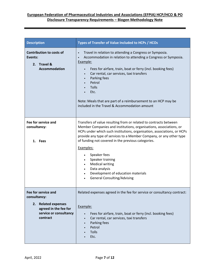| <b>Description</b>                                                                                                        | Types of Transfer of Value Included to HCPs / HCOs                                                                                                                                                                                                                                                                                                                                                                                                                                                                                                                                                    |
|---------------------------------------------------------------------------------------------------------------------------|-------------------------------------------------------------------------------------------------------------------------------------------------------------------------------------------------------------------------------------------------------------------------------------------------------------------------------------------------------------------------------------------------------------------------------------------------------------------------------------------------------------------------------------------------------------------------------------------------------|
| <b>Contribution to costs of</b><br>Events:<br>2. Travel &<br><b>Accommodation</b>                                         | Travel in relation to attending a Congress or Symposia.<br>$\bullet$<br>Accommodation in relation to attending a Congress or Symposia.<br>$\bullet$<br>Example:<br>Fees for airfare, train, boat or ferry (incl. booking fees)<br>$\bullet$<br>Car rental, car services, taxi transfers<br>$\bullet$<br>Parking fees<br>$\bullet$<br>Petrol<br>$\bullet$<br>Tolls<br>Etc.<br>Note: Meals that are part of a reimbursement to an HCP may be<br>included in the Travel & Accommodation amount                                                                                                           |
| Fee for service and<br>consultancy:<br>1. Fees                                                                            | Transfers of value resulting from or related to contracts between<br>Member Companies and institutions, organisations, associations, or<br>HCPs under which such institutions, organisation, associations, or HCPs<br>provide any type of services to a Member Company, or any other type<br>of funding not covered in the previous categories.<br>Examples:<br>Speaker fees<br>$\bullet$<br>Speaker training<br>$\bullet$<br><b>Medical writing</b><br>$\bullet$<br>Data analysis<br>$\bullet$<br>Development of education materials<br>$\bullet$<br><b>General Consulting/Advising</b><br>$\bullet$ |
| Fee for service and<br>consultancy:<br>2. Related expenses<br>agreed in the fee for<br>service or consultancy<br>contract | Related expenses agreed in the fee for service or consultancy contract:<br>Example:<br>Fees for airfare, train, boat or ferry (incl. booking fees)<br>Car rental, car services, taxi transfers<br>٠<br>Parking fees<br>$\bullet$<br>Petrol<br>Tolls<br>Etc.                                                                                                                                                                                                                                                                                                                                           |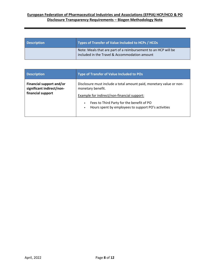| <b>Description</b> | Types of Transfer of Value Included to HCPs / HCOs                                                              |
|--------------------|-----------------------------------------------------------------------------------------------------------------|
|                    | Note: Meals that are part of a reimbursement to an HCP will be<br>included in the Travel & Accommodation amount |

| <b>Description</b>                                                         | Type of Transfer of Value Included to POs                                                                                                                                                                                                   |
|----------------------------------------------------------------------------|---------------------------------------------------------------------------------------------------------------------------------------------------------------------------------------------------------------------------------------------|
| Financial support and/or<br>significant indirect/non-<br>financial support | Disclosure must include a total amount paid, monetary value or non-<br>monetary benefit.<br>Example for indirect/non-financial support:<br>Fees to Third Party for the benefit of PO<br>Hours spent by employees to support PO's activities |
|                                                                            |                                                                                                                                                                                                                                             |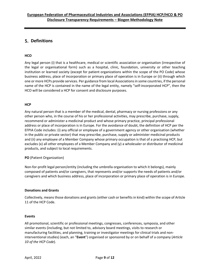## <span id="page-8-0"></span>**Definitions**

#### **HCO**

Any legal person (i) that is a healthcare, medical or scientific association or organisation (irrespective of the legal or organisational form) such as a hospital, clinic, foundation, university or other teaching institution or learned society (except for patient organizations within the scope of the PO Code) whose business address, place of incorporation or primary place of operation is in Europe or (ii) through which one or more HCPs provide services. Per guidance from local Associations in some countries, if the personal name of the HCP is contained in the name of the legal entity, namely "self-incorporated HCP", then the HCO will be considered a HCP for consent and disclosure purposes.

#### **HCP**

Any natural person that is a member of the medical, dental, pharmacy or nursing professions or any other person who, in the course of his or her professional activities, may prescribe, purchase, supply, recommend or administer a medicinal product and whose primary practice, principal professional address or place of incorporation is in Europe. For the avoidance of doubt, the definition of HCP per the EFPIA Code includes: (i) any official or employee of a government agency or other organisation (whether in the public or private sector) that may prescribe, purchase, supply or administer medicinal products and (ii) any employee of a Member Company whose primary occupation is that of a practising HCP, but excludes (x) all other employees of a Member Company and (y) a wholesaler or distributor of medicinal products, and subject to local requirements.

#### **PO** (Patient Organization)

Non-for-profit legal person/entity (including the umbrella organisation to which it belongs), mainly composed of patients and/or caregivers, that represents and/or supports the needs of patients and/or caregivers and which business address, place of incorporation or primary place of operation is in Europe.

#### **Donations and Grants**

Collectively, means those donations and grants (either cash or benefits in kind) within the scope of Article 11 of the HCP Code.

#### **Events**

All promotional, scientific or professional meetings, congresses, conferences, symposia, and other similar events (including, but not limited to, advisory board meetings, visits to research or manufacturing facilities, and planning, training or investigator meetings for clinical trials and noninterventional studies) (each, an "**Event**") organised or sponsored by or on behalf of a company (*Article 10 of the HCP Code*).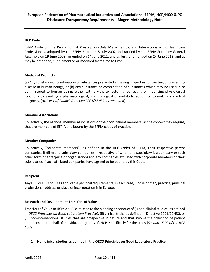#### **HCP Code**

EFPIA Code on the Promotion of Prescription-Only Medicines to, and Interactions with, Healthcare Professionals, adopted by the EFPIA Board on 5 July 2007 and ratified by the EFPIA Statutory General Assembly on 19 June 2008, amended on 14 June 2011, and as further amended on 24 June 2013, and as may be amended, supplemented or modified from time to time.

#### **Medicinal Products**

(a) Any substance or combination of substances presented as having properties for treating or preventing disease in human beings; or (b) any substance or combination of substances which may be used in or administered to human beings either with a view to restoring, correcting or modifying physiological functions by exerting a pharmacological, immunological or metabolic action, or to making a medical diagnosis. (*Article 1 of Council Directive 2001/83/EC, as amended*)

#### **Member Associations**

Collectively, the national member associations or their constituent members, as the context may require, that are members of EFPIA and bound by the EFPIA codes of practice.

#### **Member Companies**

Collectively, "corporate members" (as defined in the HCP Code) of EFPIA, their respective parent companies, if different, subsidiary companies (irrespective of whether a subsidiary is a company or such other form of enterprise or organisation) and any companies affiliated with corporate members or their subsidiaries if such affiliated companies have agreed to be bound by this Code.

#### **Recipient**

Any HCP or HCO or PO as applicable per local requirements, in each case, whose primary practice, principal professional address or place of incorporation is in Europe.

#### **Research and Development Transfers of Value**

Transfers of Value to HCPs or HCOs related to the planning or conduct of (i) non-clinical studies (as defined in *OECD Principles on Good Laboratory Practice*); (ii) clinical trials (as defined in Directive 2001/20/EC); or (iii) non-interventional studies that are prospective in nature and that involve the collection of patient data from or on behalf of individual, or groups of, HCPs specifically for the study (*Section 15.02 of the HCP Code*).

#### 1. **Non-clinical studies as defined in the OECD Principles on Good Laboratory Practice**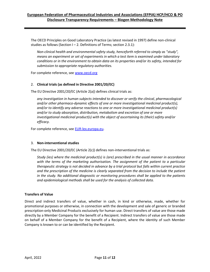The OECD Principles on Good Laboratory Practice (as latest revised in 1997) define non-clinical studies as follows (Section  $I - 2$ . Definitions of Terms; section 2.3.1):

*Non-clinical health and environmental safety study, henceforth referred to simply as "study", means an experiment or set of experiments in which a test item is examined under laboratory conditions or in the environment to obtain data on its properties and/or its safety, intended for submission to appropriate regulatory authorities.* 

For complete reference, see [www.oecd.org](http://www.oecd.org/)

#### 2. **Clinical trials (as defined in Directive 2001/20/EC)**

The EU Directive 2001/20/EC (Article 2(a)) defines clinical trials as:

*any investigation in human subjects intended to discover or verify the clinical, pharmacological and/or other pharmaco-dynamic effects of one or more investigational medicinal product(s), and/or to identify any adverse reactions to one or more investigational medicinal product(s) and/or to study absorption, distribution, metabolism and excretion of one or more investigational medicinal product(s) with the object of ascertaining its (their) safety and/or efficacy.* 

For complete reference, see [EUR-lex.europa.eu.](http://eur-lex.europa.eu/)

#### 3. **Non-interventional studies**

The EU Directive 2001/20/EC (Article 2(c)) defines non-interventional trials as:

*Study (ies) where the medicinal product(s) is (are) prescribed in the usual manner in accordance*  with the terms of the marketing authorisation. The assignment of the patient to a particular *therapeutic strategy is not decided in advance by a trial protocol but falls within current practice and the prescription of the medicine is clearly separated from the decision to include the patient in the study. No additional diagnostic or monitoring procedures shall be applied to the patients and epidemiological methods shall be used for the analysis of collected data.*

#### **Transfers of Value**

Direct and indirect transfers of value, whether in cash, in kind or otherwise, made, whether for promotional purposes or otherwise, in connection with the development and sale of generic or branded prescription-only Medicinal Products exclusively for human use. Direct transfers of value are those made directly by a Member Company for the benefit of a Recipient. Indirect transfers of value are those made on behalf of a Member Company for the benefit of a Recipient, where the identity of such Member Company is known to or can be identified by the Recipient.